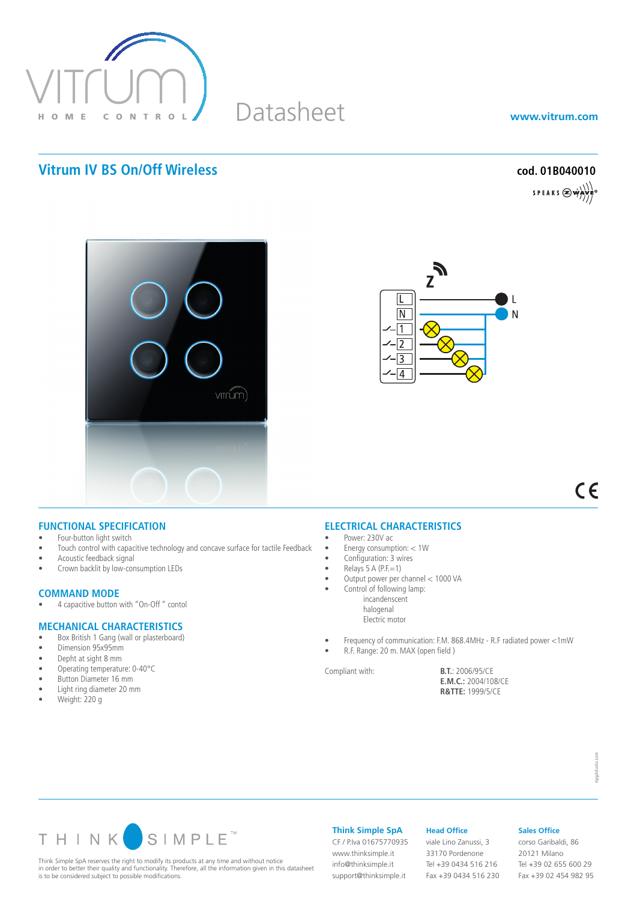

# Datasheet

**www.vitrum.com**

## **Vitrum IV BS On/Off Wireless cod. 01B040010**

SPEAKS  $\bigotimes$  which





 $C \in$ 

### **FUNCTIONAL SPECIFICATION**

- Four-button light switch
- Touch control with capacitive technology and concave surface for tactile Feedback
- Acoustic feedback signal
- Crown backlit by low-consumption LEDs

# **COMMAND MODE**<br>• 4 capacitive button

4 capacitive button with "On-Off" contol

### **MECHANICAL CHARACTERISTICS**

- Box British 1 Gang (wall or plasterboard)<br>• Dimension 95x95mm
- Dimension 95x95mm
- Depht at sight 8 mm
- Operating temperature: 0-40°C
- • Button Diameter 16 mm • Light ring diameter 20 mm
- Weight: 220 g
- 

### **ELECTRICAL CHARACTERISTICS**

- Power: 230V ac
- • Energy consumption: < 1W
- Configuration: 3 wires
- $Relays 5 A (P.E=1)$
- • Output power per channel < 1000 VA
	- Control of following lamp: incandenscent halogenal Electric motor
- Frequency of communication: F.M. 868.4MHz R.F radiated power <1mW
- R.F. Range: 20 m. MAX (open field )

Compliant with: **B.T.**: 2006/95/CE **E.M.C.:** 2004/108/CE **R&TTE:** 1999/5/CE



Think Simple SpA reserves the right to modify its products at any time and without notice in order to better their quality and functionality. Therefore, all the information given in this datasheet is to be considered subject to possible modifications.

**Think Simple SpA**

support@thinksimple.it

CF / P.Iva 01675770935 www.thinksimple.it info@thinksimple.it

### **Head Office**

viale Lino Zanussi, 3 33170 Pordenone Tel +39 0434 516 216 Fax +39 0434 516 230

### **Sales Office**

corso Garibaldi, 86 20121 Milano Tel +39 02 655 600 29 Fax +39 02 454 982 95